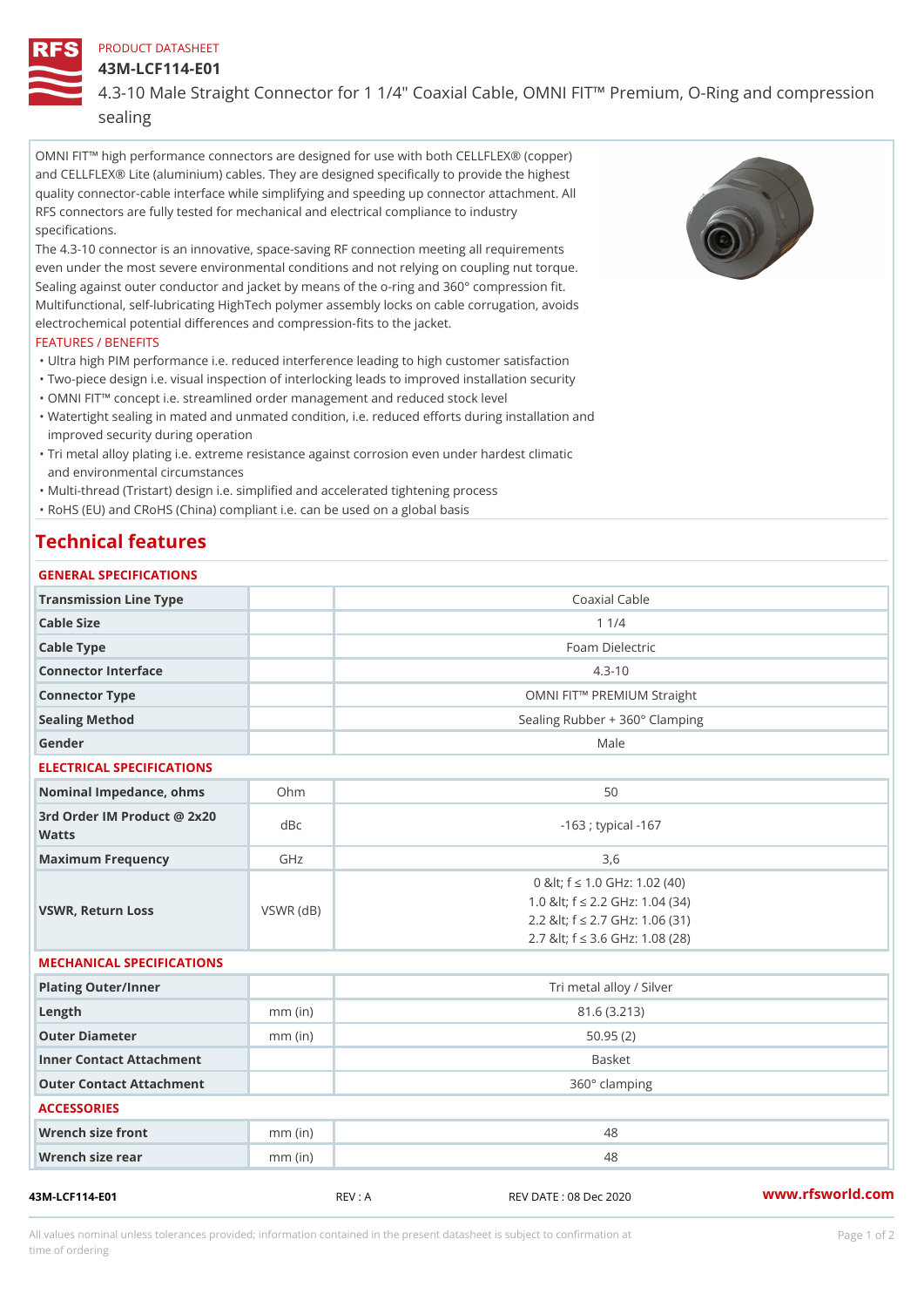#### PRODUCT DATASHEET

#### 43M-LCF114-E01

4.3-10 Male Straight Connector for 1 1/4" Coaxial Cable, OMNI FIT!" Pr sealing

OMNI FIT!" high performance connectors are designed for use with both CELLFLEX® (copper) and CELLFLEX® Lite (aluminium) cables. They are designed specifically to provide the highest quality connector-cable interface while simplifying and speeding up connector attachment. All RFS connectors are fully tested for mechanical and electrical compliance to industry specifications.

The 4.3-10 connector is an innovative, space-saving RF connection meeting all requirements even under the most severe environmental conditions and not relying on coupling nut torque. Sealing against outer conductor and jacket by means of the o-ring and 360° compression fit. Multifunctional, self-lubricating HighTech polymer assembly locks on cable corrugation, avoids electrochemical potential differences and compression-fits to the jacket.

### FEATURES / BENEFITS

- "Ultra high PIM performance i.e. reduced interference leading to high customer satisfaction "Two-piece design i.e. visual inspection of interlocking leads to improved installation security
- "OMNI FIT!" concept i.e. streamlined order management and reduced stock level
- Watertight sealing in mated and unmated condition, i.e. reduced efforts during installation and " improved security during operation
- Tri metal alloy plating i.e. extreme resistance against corrosion even under hardest climatic " and environmental circumstances

"Multi-thread (Tristart) design i.e. simplified and accelerated tightening process

"RoHS (EU) and CRoHS (China) compliant i.e. can be used on a global basis

# Technical features

| GENERAL SPECIFICATIONS |                                |  |  |
|------------------------|--------------------------------|--|--|
| Transmission Line Type | Coaxial Cable                  |  |  |
| Cable Size             | $1 \t1/4$                      |  |  |
| Cable Type             | Foam Dielectric                |  |  |
| Connector Interface    | $4.3 - 10$                     |  |  |
| Connector Type         | OMNI FIT!" PREMIUM Straight    |  |  |
| Sealing Method         | Sealing Rubber + 360° Clamping |  |  |
| Gender                 | Male                           |  |  |

#### ELECTRICAL SPECIFICATIONS

| Nominal Impedance, ohins Ohm                |           | 50                                                                                                                                               |  |  |
|---------------------------------------------|-----------|--------------------------------------------------------------------------------------------------------------------------------------------------|--|--|
| 3rd Order IM Product @ 2x20<br>dBc<br>Watts |           | -163 ; typical -167                                                                                                                              |  |  |
| Maximum Frequency                           | GHz       | 3.6                                                                                                                                              |  |  |
| VSWR, Return Loss                           | VSWR (dB) | 0 & It; f "d 1.0 G H z: 1.02 (40)<br>1.0 & It; f "d 2.2 GHz: 1.04 (34)<br>2.2 & It; f "d 2.7 GHz: 1.06 (31)<br>2.7 & It; f "d 3.6 GHz: 1.08 (28) |  |  |

# MECHANICAL SPECIFICATIONS

| Plating Outer/Inner      |           | Tri metal alloy / Silver |  |  |
|--------------------------|-----------|--------------------------|--|--|
| $L$ ength                | $mm$ (in) | 81.6 (3.213)             |  |  |
| Outer Diameter           | $mm$ (in) | 50.95(2)                 |  |  |
| Inner Contact Attachment |           | <b>Basket</b>            |  |  |
| Outer Contact Attachment |           | 360° clamping            |  |  |
| <b>ACCESSORIES</b>       |           |                          |  |  |
| Wrench size front        | $mm$ (in) | 48                       |  |  |
| Wrench size rear         | $mm$ (in) | 48                       |  |  |
|                          |           |                          |  |  |

43M-LCF114-E01 REV : A REV DATE : 08 Dec 2020 [www.](https://www.rfsworld.com)rfsworld.com

All values nominal unless tolerances provided; information contained in the present datasheet is subject to Pcapgeign manation time of ordering